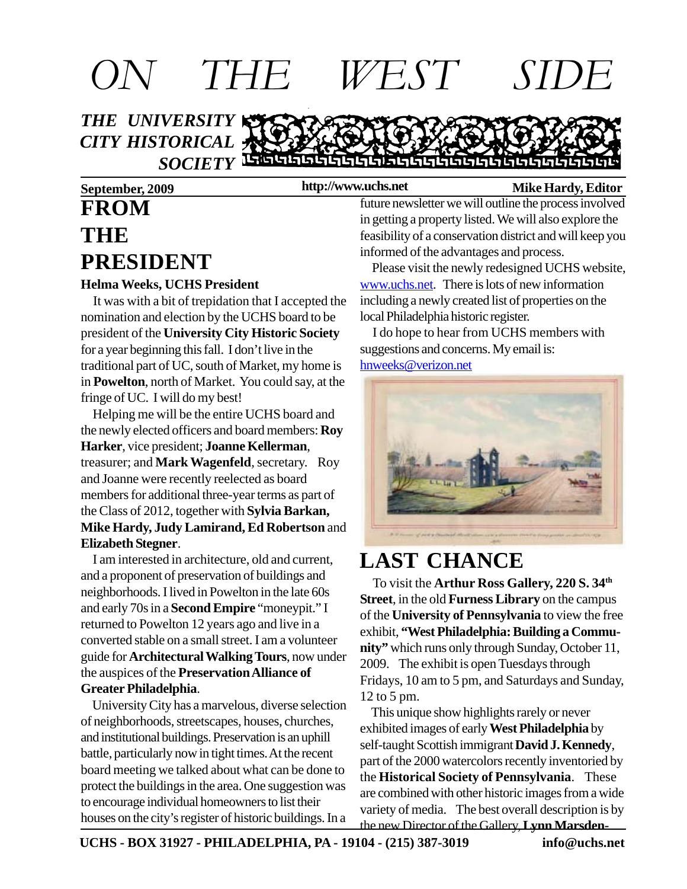

**http://www.uchs.net**

**SOCIETY** LEGGISLE GLEGE GENERAL LEGGISLE GREEK

#### **September, 2009 http://www.uchs.net** Mike Hardy, Editor

# **FROM THE PRESIDENT**

#### **Helma Weeks, UCHS President**

 It was with a bit of trepidation that I accepted the nomination and election by the UCHS board to be president of the **University City Historic Society** for a year beginning this fall. I don't live in the traditional part of UC, south of Market, my home is in **Powelton**, north of Market. You could say, at the fringe of UC. I will do my best!

 Helping me will be the entire UCHS board and the newly elected officers and board members: **Roy Harker**, vice president; **Joanne Kellerman**, treasurer; and **Mark Wagenfeld**, secretary. Roy and Joanne were recently reelected as board members for additional three-year terms as part of the Class of 2012, together with **Sylvia Barkan, Mike Hardy, Judy Lamirand, Ed Robertson** and **Elizabeth Stegner**.

 I am interested in architecture, old and current, and a proponent of preservation of buildings and neighborhoods. I lived in Powelton in the late 60s and early 70s in a **Second Empire** "moneypit." I returned to Powelton 12 years ago and live in a converted stable on a small street. I am a volunteer guide for **Architectural Walking Tours**, now under the auspices of the **Preservation Alliance of Greater Philadelphia**.

 University City has a marvelous, diverse selection of neighborhoods, streetscapes, houses, churches, and institutional buildings. Preservation is an uphill battle, particularly now in tight times. At the recent board meeting we talked about what can be done to protect the buildings in the area. One suggestion was to encourage individual homeowners to list their houses on the city's register of historic buildings. In a

future newsletter we will outline the process involved in getting a property listed. We will also explore the feasibility of a conservation district and will keep you informed of the advantages and process.

 Please visit the newly redesigned UCHS website, www.uchs.net. There is lots of new information including a newly created list of properties on the local Philadelphia historic register.

 I do hope to hear from UCHS members with suggestions and concerns. My email is: hnweeks@verizon.net



## **LAST CHANCE**

 To visit the **Arthur Ross Gallery, 220 S. 34th Street**, in the old **Furness Library** on the campus of the **University of Pennsylvania** to view the free exhibit, **"West Philadelphia: Building a Community"** which runs only through Sunday, October 11, 2009. The exhibit is open Tuesdays through Fridays, 10 am to 5 pm, and Saturdays and Sunday, 12 to 5 pm.

 This unique show highlights rarely or never exhibited images of early **West Philadelphia** by self-taught Scottish immigrant **David J. Kennedy**, part of the 2000 watercolors recently inventoried by the **Historical Society of Pennsylvania**. These are combined with other historic images from a wide variety of media. The best overall description is by the new Director of the Gallery, **Lynn Marsden-**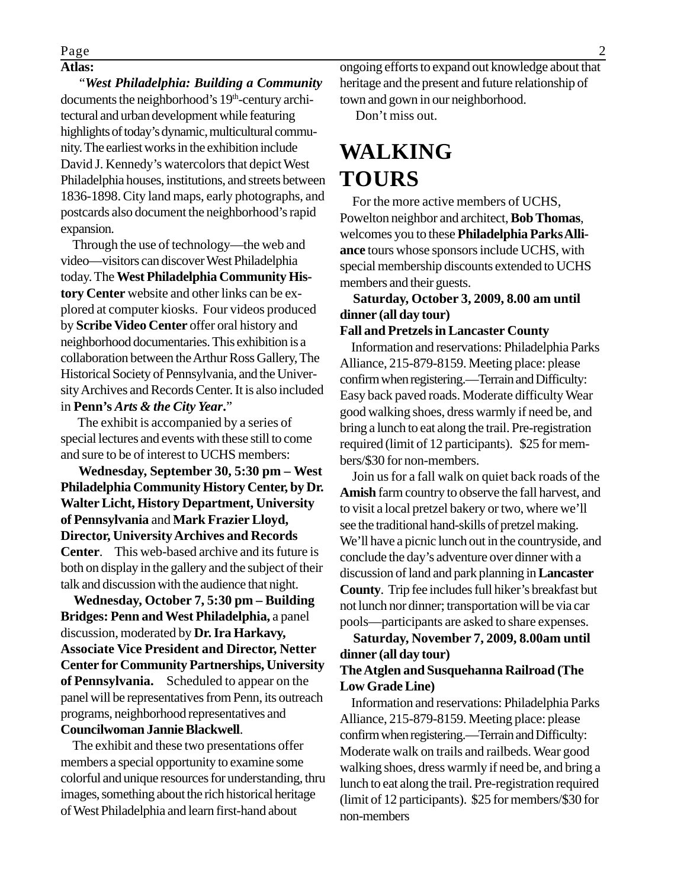### Page 2

#### **Atlas:**

 "*West Philadelphia: Building a Community* documents the neighborhood's 19<sup>th</sup>-century architectural and urban development while featuring highlights of today's dynamic, multicultural community. The earliest works in the exhibition include David J. Kennedy's watercolors that depict West Philadelphia houses, institutions, and streets between 1836-1898. City land maps, early photographs, and postcards also document the neighborhood's rapid expansion.

 Through the use of technology—the web and video—visitors can discover West Philadelphia today. The **West Philadelphia Community History Center** website and other links can be explored at computer kiosks. Four videos produced by **Scribe Video Center** offer oral history and neighborhood documentaries. This exhibition is a collaboration between the Arthur Ross Gallery, The Historical Society of Pennsylvania, and the University Archives and Records Center. It is also included in **Penn's** *Arts & the City Year***.**"

 The exhibit is accompanied by a series of special lectures and events with these still to come and sure to be of interest to UCHS members:

 **Wednesday, September 30, 5:30 pm – West Philadelphia Community History Center, by Dr. Walter Licht, History Department, University of Pennsylvania** and **Mark Frazier Lloyd, Director, University Archives and Records Center**. This web-based archive and its future is both on display in the gallery and the subject of their talk and discussion with the audience that night.

 **Wednesday, October 7, 5:30 pm – Building Bridges: Penn and West Philadelphia,** a panel discussion, moderated by **Dr. Ira Harkavy, Associate Vice President and Director, Netter Center for Community Partnerships, University of Pennsylvania.** Scheduled to appear on the panel will be representatives from Penn, its outreach programs, neighborhood representatives and **Councilwoman Jannie Blackwell**.

 The exhibit and these two presentations offer members a special opportunity to examine some colorful and unique resources for understanding, thru images, something about the rich historical heritage of West Philadelphia and learn first-hand about

ongoing efforts to expand out knowledge about that heritage and the present and future relationship of town and gown in our neighborhood.

Don't miss out.

### **WALKING TOURS**

 For the more active members of UCHS, Powelton neighbor and architect, **Bob Thomas**, welcomes you to these **Philadelphia Parks Alliance** tours whose sponsors include UCHS, with special membership discounts extended to UCHS members and their guests.

#### **Saturday, October 3, 2009, 8.00 am until dinner (all day tour)**

#### **Fall and Pretzels in Lancaster County**

 Information and reservations: Philadelphia Parks Alliance, 215-879-8159. Meeting place: please confirm when registering.—Terrain and Difficulty: Easy back paved roads. Moderate difficulty Wear good walking shoes, dress warmly if need be, and bring a lunch to eat along the trail. Pre-registration required (limit of 12 participants). \$25 for members/\$30 for non-members.

 Join us for a fall walk on quiet back roads of the **Amish** farm country to observe the fall harvest, and to visit a local pretzel bakery or two, where we'll see the traditional hand-skills of pretzel making. We'll have a picnic lunch out in the countryside, and conclude the day's adventure over dinner with a discussion of land and park planning in **Lancaster County**. Trip fee includes full hiker's breakfast but not lunch nor dinner; transportation will be via car pools—participants are asked to share expenses.

 **Saturday, November 7, 2009, 8.00am until dinner (all day tour)**

#### **The Atglen and Susquehanna Railroad (The Low Grade Line)**

 Information and reservations: Philadelphia Parks Alliance, 215-879-8159. Meeting place: please confirm when registering.—Terrain and Difficulty: Moderate walk on trails and railbeds. Wear good walking shoes, dress warmly if need be, and bring a lunch to eat along the trail. Pre-registration required (limit of 12 participants). \$25 for members/\$30 for non-members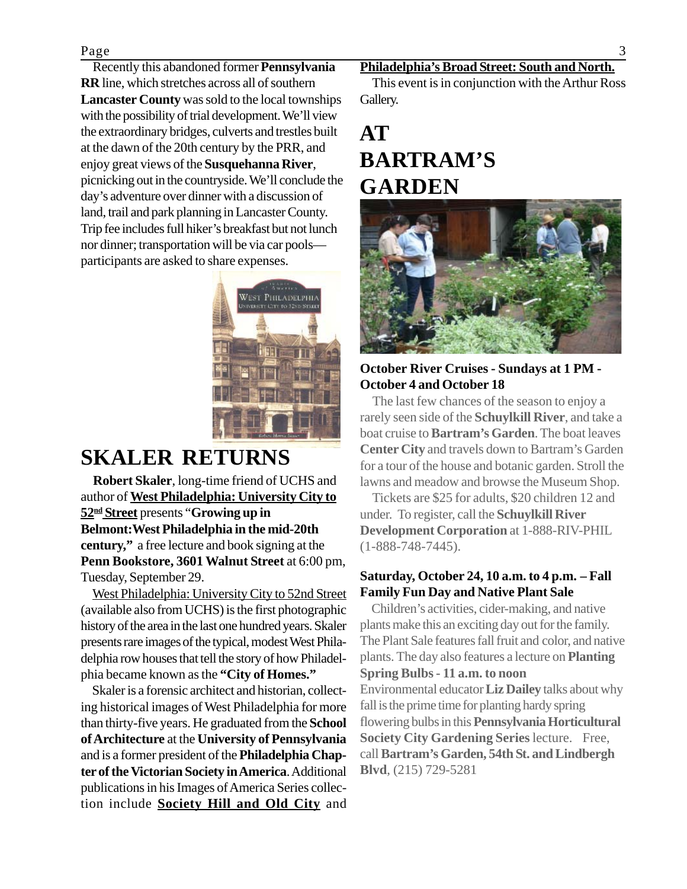#### Page 3

 Recently this abandoned former **Pennsylvania RR** line, which stretches across all of southern **Lancaster County** was sold to the local townships with the possibility of trial development. We'll view the extraordinary bridges, culverts and trestles built at the dawn of the 20th century by the PRR, and enjoy great views of the **Susquehanna River**, picnicking out in the countryside. We'll conclude the day's adventure over dinner with a discussion of land, trail and park planning in Lancaster County. Trip fee includes full hiker's breakfast but not lunch nor dinner; transportation will be via car pools participants are asked to share expenses.



### **SKALER RETURNS**

 **Robert Skaler**, long-time friend of UCHS and author of **West Philadelphia: University City to 52nd Street** presents "**Growing up in Belmont:West Philadelphia in the mid-20th century,"** a free lecture and book signing at the **Penn Bookstore, 3601 Walnut Street** at 6:00 pm, Tuesday, September 29.

 West Philadelphia: University City to 52nd Street (available also from UCHS) is the first photographic history of the area in the last one hundred years. Skaler presents rare images of the typical, modest West Philadelphia row houses that tell the story of how Philadelphia became known as the **"City of Homes."**

 Skaler is a forensic architect and historian, collecting historical images of West Philadelphia for more than thirty-five years. He graduated from the **School of Architecture** at the **University of Pennsylvania** and is a former president of the **Philadelphia Chapter of the Victorian Society in America**. Additional publications in his Images of America Series collection include **Society Hill and Old City** and

#### **Philadelphia's Broad Street: South and North.**

 This event is in conjunction with the Arthur Ross Gallery.

### **AT BARTRAM'S GARDEN**



#### **October River Cruises - Sundays at 1 PM - October 4 and October 18**

 The last few chances of the season to enjoy a rarely seen side of the **Schuylkill River**, and take a boat cruise to **Bartram's Garden**. The boat leaves **Center City** and travels down to Bartram's Garden for a tour of the house and botanic garden. Stroll the lawns and meadow and browse the Museum Shop.

 Tickets are \$25 for adults, \$20 children 12 and under. To register, call the **Schuylkill River Development Corporation** at 1-888-RIV-PHIL (1-888-748-7445).

#### **Saturday, October 24, 10 a.m. to 4 p.m. – Fall Family Fun Day and Native Plant Sale**

Children's activities, cider-making, and native plants make this an exciting day out for the family. The Plant Sale features fall fruit and color, and native plants. The day also features a lecture on **Planting Spring Bulbs - 11 a.m. to noon** Environmental educator **Liz Dailey** talks about why fall is the prime time for planting hardy spring flowering bulbs in this **Pennsylvania Horticultural Society City Gardening Series** lecture. Free, call **Bartram's Garden, 54th St. and Lindbergh Blvd**, (215) 729-5281